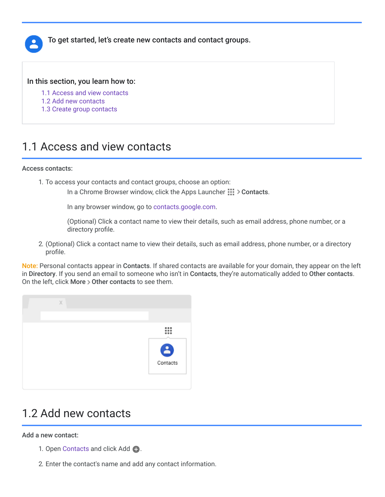

To get started, let's create new contacts and contact groups.

#### In this section, you learn how to:

- [1.1 Access and view contacts](https://support.google.com/a/users/answer/9310148?hl=en&ref_topic=9296545#1.1)
- [1.2 Add new contacts](https://support.google.com/a/users/answer/9310148?hl=en&ref_topic=9296545#1.2)
- [1.3 Create group contacts](https://support.google.com/a/users/answer/9310148?hl=en&ref_topic=9296545#1.3)

#### 1.1 Access and view contacts

#### Access contacts:

1. To access your contacts and contact groups, choose an option:

In a Chrome Browser window, click the Apps Launcher  $\frac{111}{111}$  > Contacts.

In any browser window, go to [contacts.google.com.](https://contacts.google.com/)

(Optional) Click a contact name to view their details, such as email address, phone number, or a directory profile.

2. (Optional) Click a contact name to view their details, such as email address, phone number, or a directory profile.

Note: Personal contacts appear in Contacts. If shared contacts are available for your domain, they appear on the left in Directory. If you send an email to someone who isn't in Contacts, they're automatically added to Other contacts. On the left, click More  $>$  Other contacts to see them.



# 1.2 Add new contacts

Add a new contact:

- 1. Open [Contacts](https://contacts.google.com/) and click Add  $\bullet$ .
- 2. Enter the contact's name and add any contact information.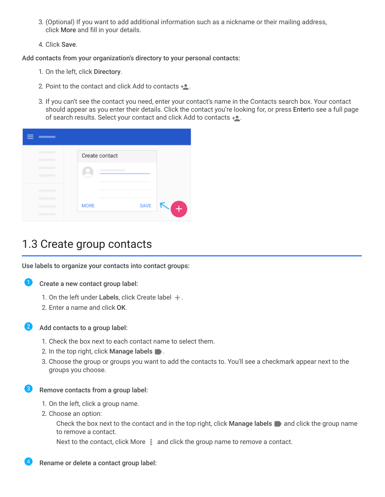- 3. (Optional) If you want to add additional information such as a nickname or their mailing address, click More and fill in your details.
- 4. Click Save.

Add contacts from your organization's directory to your personal contacts:

- 1. On the left, click Directory.
- 2. Point to the contact and click Add to contacts  $+$ .
- 3. If you can't see the contact you need, enter your contact's name in the Contacts search box. Your contact should appear as you enter their details. Click the contact you're looking for, or press Enterto see a full page of search results. Select your contact and click Add to contacts  $+ \bullet$ .

| <b>STATISTICS</b> |                |             |     |
|-------------------|----------------|-------------|-----|
|                   | Create contact |             |     |
|                   |                |             |     |
|                   |                |             |     |
|                   | <b>MORE</b>    | <b>SAVE</b> | $+$ |

## 1.3 Create group contacts

Use labels to organize your contacts into contact groups:

- D
	- Create a new contact group label:
		- 1. On the left under Labels, click Create label  $+$ .
		- 2. Enter a name and click OK.
- Add contacts to a group label:

1. Check the box next to each contact name to select them.

- 2. In the top right, click **Manage labels**  $\blacksquare$ .
- 3. Choose the group or groups you want to add the contacts to. You'll see a checkmark appear next to the groups you choose.
- 3) Remove contacts from a group label:
	- 1. On the left, click a group name.
	- 2. Choose an option:

Check the box next to the contact and in the top right, click **Manage labels**  $\blacksquare$  and click the group name to remove a contact.

Next to the contact, click More **and click the group name to remove a contact**.

Rename or delete a contact group label: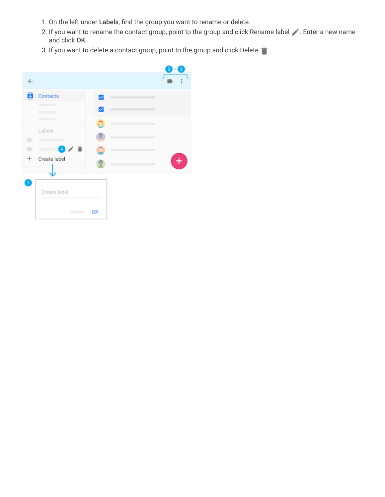- 1. On the left under Labels, find the group you want to rename or delete.
- 2. If you want to rename the contact group, point to the group and click Rename label . Enter a new name and click OK.
- 3. If you want to delete a contact group, point to the group and click Delete  $\blacksquare$ .

|                |                                  |    |  |   | $2 - 3$ |  |
|----------------|----------------------------------|----|--|---|---------|--|
| $\leftarrow$   |                                  |    |  |   |         |  |
| ø              | Contacts                         | ☑  |  | m |         |  |
|                |                                  |    |  | m |         |  |
|                |                                  |    |  |   |         |  |
|                | Labels                           |    |  |   |         |  |
| $\blacksquare$ | m                                |    |  |   |         |  |
| ∍              | ÷<br>$\left  \mathbf{A} \right $ |    |  |   |         |  |
| $\div$         | Create label                     |    |  |   |         |  |
|                |                                  |    |  |   |         |  |
| ð              | Create label                     |    |  |   |         |  |
|                |                                  | OK |  |   |         |  |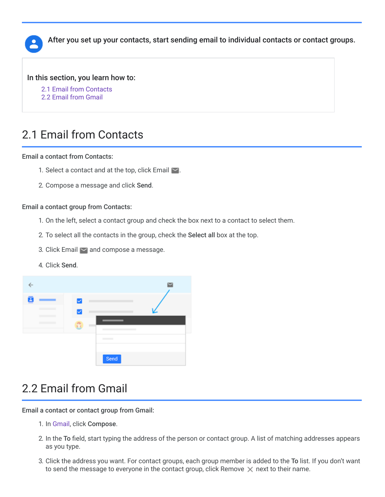

After you set up your contacts, start sending email to individual contacts or contact groups.

In this section, you learn how to:

[2.1 Email from Contacts](https://support.google.com/a/users/answer/9310453?hl=en&ref_topic=9296545#2.1)

[2.2 Email from Gmail](https://support.google.com/a/users/answer/9310453?hl=en&ref_topic=9296545#2.2)

# 2.1 Email from Contacts

Email a contact from Contacts:

- 1. Select a contact and at the top, click Email  $\blacksquare$ .
- 2. Compose a message and click Send.

#### Email a contact group from Contacts:

- 1. On the left, select a contact group and check the box next to a contact to select them.
- 2. To select all the contacts in the group, check the Select all box at the top.
- 3. Click Email  $\sim$  and compose a message.
- 4. Click Send.



# 2.2 Email from Gmail

Email a contact or contact group from Gmail:

- 1. In [Gmail,](https://mail.google.com/) click Compose.
- 2. In the To field, start typing the address of the person or contact group. A list of matching addresses appears as you type.
- 3. Click the address you want. For contact groups, each group member is added to the To list. If you don't want to send the message to everyone in the contact group, click Remove  $\times$  next to their name.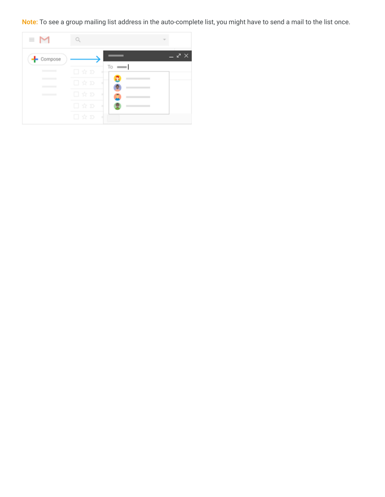Note: To see a group mailing list address in the auto-complete list, you might have to send a mail to the list once.

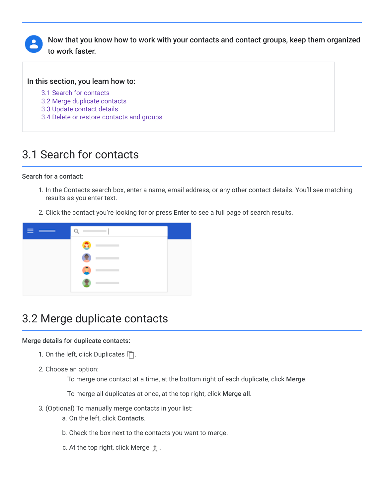

Now that you know how to work with your contacts and contact groups, keep them organized to work faster.

In this section, you learn how to:

- [3.1 Search for contacts](https://support.google.com/a/users/answer/9310241?hl=en&ref_topic=9296545#3.1)
- [3.2 Merge duplicate contacts](https://support.google.com/a/users/answer/9310241?hl=en&ref_topic=9296545#3.2)
- [3.3 Update contact details](https://support.google.com/a/users/answer/9310241?hl=en&ref_topic=9296545#3.3)
- [3.4 Delete or restore contacts and groups](https://support.google.com/a/users/answer/9310241?hl=en&ref_topic=9296545#3.4)

# 3.1 Search for contacts

Search for a contact:

- 1. In the Contacts search box, enter a name, email address, or any other contact details. You'll see matching results as you enter text.
- 2. Click the contact you're looking for or press Enter to see a full page of search results.



## 3.2 Merge duplicate contacts

#### Merge details for duplicate contacts:

- 1. On the left, click Duplicates  $\Box$ .
- 2. Choose an option:

To merge one contact at a time, at the bottom right of each duplicate, click Merge.

To merge all duplicates at once, at the top right, click Merge all.

- 3. (Optional) To manually merge contacts in your list:
	- a. On the left, click Contacts.
	- b. Check the box next to the contacts you want to merge.
	- c. At the top right, click Merge  $\uparrow$ .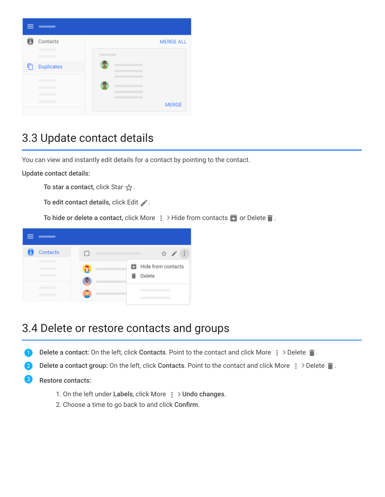

# 3.3 Update contact details

You can view and instantly edit details for a contact by pointing to the contact.

Update contact details:

To star a contact, click Star  $\frac{1}{N}$ .

To edit contact details, click Edit .

To hide or delete a contact, click More  $\frac{1}{2}$  > Hide from contacts  $\bullet$  or Delete  $\bullet$ .



## 3.4 Delete or restore contacts and groups

- Delete a contact: On the left, click Contacts. Point to the contact and click More  $\cdot$  > Delete  $\cdot$  .
- Delete a contact group: On the left, click Contacts. Point to the contact and click More  $\frac{1}{2}$  > Delete  $\blacksquare$ .
- Restore contacts:
	- 1. On the left under Labels, click More  $\frac{1}{2}$  > Undo changes.
	- 2. Choose a time to go back to and click Confirm.